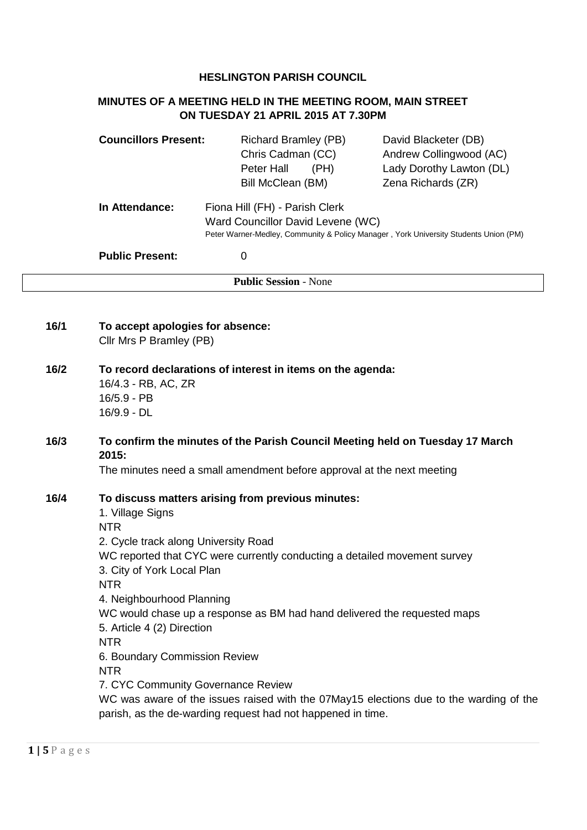### **HESLINGTON PARISH COUNCIL**

## **MINUTES OF A MEETING HELD IN THE MEETING ROOM, MAIN STREET ON TUESDAY 21 APRIL 2015 AT 7.30PM**

| <b>Councillors Present:</b> | <b>Richard Bramley (PB)</b><br>Chris Cadman (CC)<br>(PH)<br>Peter Hall<br>Bill McClean (BM)                                                                 | David Blacketer (DB)<br>Andrew Collingwood (AC)<br>Lady Dorothy Lawton (DL)<br>Zena Richards (ZR) |
|-----------------------------|-------------------------------------------------------------------------------------------------------------------------------------------------------------|---------------------------------------------------------------------------------------------------|
| In Attendance:              | Fiona Hill (FH) - Parish Clerk<br>Ward Councillor David Levene (WC)<br>Peter Warner-Medley, Community & Policy Manager, York University Students Union (PM) |                                                                                                   |
| <b>Public Present:</b>      | O                                                                                                                                                           |                                                                                                   |
|                             | <b>Public Session - None</b>                                                                                                                                |                                                                                                   |

| 16/1 | To accept apologies for absence:<br>Cllr Mrs P Bramley (PB)                                                                                                                                                                                                                                                                                                                                                                                                                                                                                                                                                                                             |
|------|---------------------------------------------------------------------------------------------------------------------------------------------------------------------------------------------------------------------------------------------------------------------------------------------------------------------------------------------------------------------------------------------------------------------------------------------------------------------------------------------------------------------------------------------------------------------------------------------------------------------------------------------------------|
| 16/2 | To record declarations of interest in items on the agenda:<br>16/4.3 - RB, AC, ZR<br>16/5.9 - PB<br>16/9.9 - DL                                                                                                                                                                                                                                                                                                                                                                                                                                                                                                                                         |
| 16/3 | To confirm the minutes of the Parish Council Meeting held on Tuesday 17 March<br>2015:<br>The minutes need a small amendment before approval at the next meeting                                                                                                                                                                                                                                                                                                                                                                                                                                                                                        |
| 16/4 | To discuss matters arising from previous minutes:<br>1. Village Signs<br><b>NTR</b><br>2. Cycle track along University Road<br>WC reported that CYC were currently conducting a detailed movement survey<br>3. City of York Local Plan<br><b>NTR</b><br>4. Neighbourhood Planning<br>WC would chase up a response as BM had hand delivered the requested maps<br>5. Article 4 (2) Direction<br><b>NTR</b><br>6. Boundary Commission Review<br><b>NTR</b><br>7. CYC Community Governance Review<br>WC was aware of the issues raised with the 07May15 elections due to the warding of the<br>parish, as the de-warding request had not happened in time. |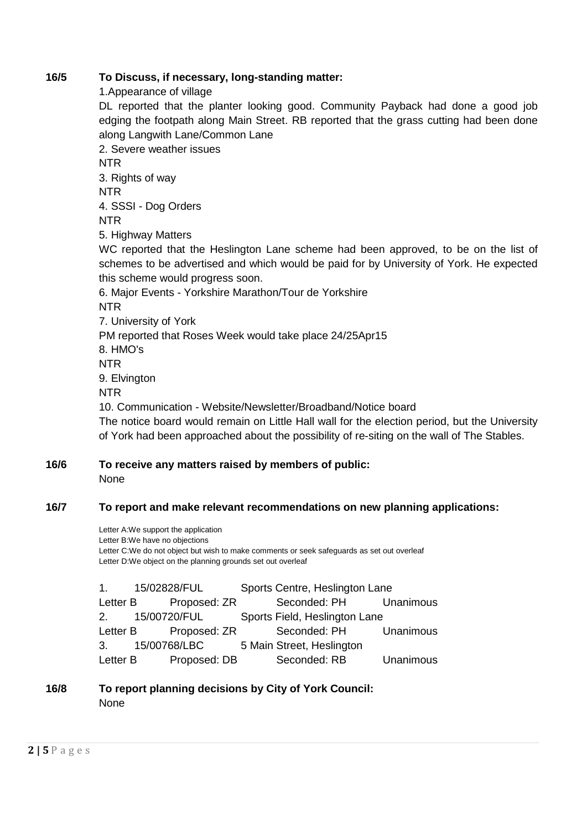### **16/5 To Discuss, if necessary, long-standing matter:**

1.Appearance of village

DL reported that the planter looking good. Community Payback had done a good job edging the footpath along Main Street. RB reported that the grass cutting had been done along Langwith Lane/Common Lane

2. Severe weather issues NTR 3. Rights of way NTR 4. SSSI - Dog Orders NTR 5. Highway Matters WC reported that the Heslington Lane scheme had been approved, to be on the list of schemes to be advertised and which would be paid for by University of York. He expected this scheme would progress soon. 6. Major Events - Yorkshire Marathon/Tour de Yorkshire NTR 7. University of York PM reported that Roses Week would take place 24/25Apr15 8. HMO's NTR 9. Elvington NTR 10. Communication - Website/Newsletter/Broadband/Notice board The notice board would remain on Little Hall wall for the election period, but the University

of York had been approached about the possibility of re-siting on the wall of The Stables.

### **16/6 To receive any matters raised by members of public:** None

## **16/7 To report and make relevant recommendations on new planning applications:**

Letter A:We support the application Letter B:We have no objections Letter C:We do not object but wish to make comments or seek safeguards as set out overleaf Letter D:We object on the planning grounds set out overleaf

| 1.       | 15/02828/FUL          | Sports Centre, Heslington Lane |           |
|----------|-----------------------|--------------------------------|-----------|
| Letter B | Proposed: ZR          | Seconded: PH Unanimous         |           |
|          | 2. 15/00720/FUL       | Sports Field, Heslington Lane  |           |
|          | Letter B Proposed: ZR | Seconded: PH Unanimous         |           |
|          | 3. 15/00768/LBC       | 5 Main Street, Heslington      |           |
| Letter B | Proposed: DB          | Seconded: RB                   | Unanimous |

### **16/8 To report planning decisions by City of York Council:** None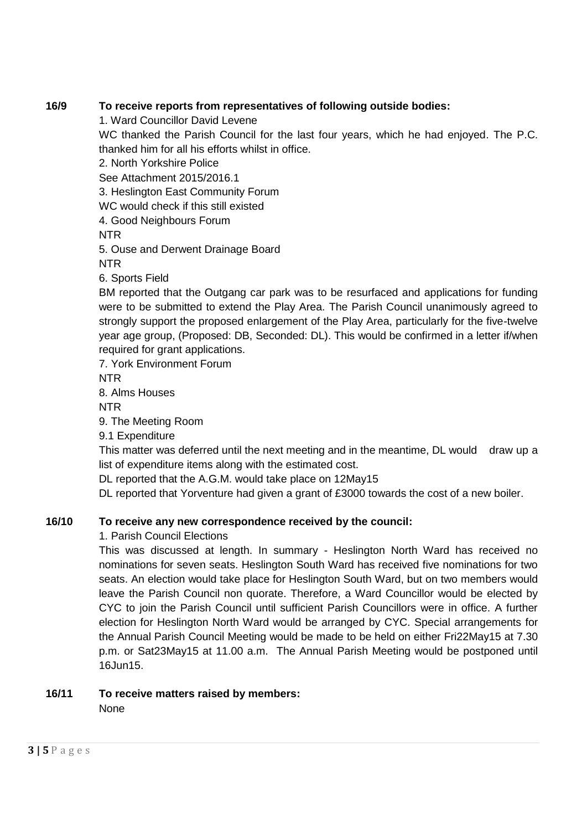## **16/9 To receive reports from representatives of following outside bodies:**

1. Ward Councillor David Levene

WC thanked the Parish Council for the last four years, which he had enjoyed. The P.C. thanked him for all his efforts whilst in office.

2. North Yorkshire Police

See Attachment 2015/2016.1

3. Heslington East Community Forum

WC would check if this still existed

4. Good Neighbours Forum

NTR

5. Ouse and Derwent Drainage Board

NTR

6. Sports Field

BM reported that the Outgang car park was to be resurfaced and applications for funding were to be submitted to extend the Play Area. The Parish Council unanimously agreed to strongly support the proposed enlargement of the Play Area, particularly for the five-twelve year age group, (Proposed: DB, Seconded: DL). This would be confirmed in a letter if/when required for grant applications.

7. York Environment Forum

NTR

8. Alms Houses

NTR

9. The Meeting Room

9.1 Expenditure

This matter was deferred until the next meeting and in the meantime, DL would draw up a list of expenditure items along with the estimated cost.

DL reported that the A.G.M. would take place on 12May15

DL reported that Yorventure had given a grant of £3000 towards the cost of a new boiler.

# **16/10 To receive any new correspondence received by the council:**

1. Parish Council Elections

This was discussed at length. In summary - Heslington North Ward has received no nominations for seven seats. Heslington South Ward has received five nominations for two seats. An election would take place for Heslington South Ward, but on two members would leave the Parish Council non quorate. Therefore, a Ward Councillor would be elected by CYC to join the Parish Council until sufficient Parish Councillors were in office. A further election for Heslington North Ward would be arranged by CYC. Special arrangements for the Annual Parish Council Meeting would be made to be held on either Fri22May15 at 7.30 p.m. or Sat23May15 at 11.00 a.m. The Annual Parish Meeting would be postponed until  $16$ .lun $15$ 

# **16/11 To receive matters raised by members:**

None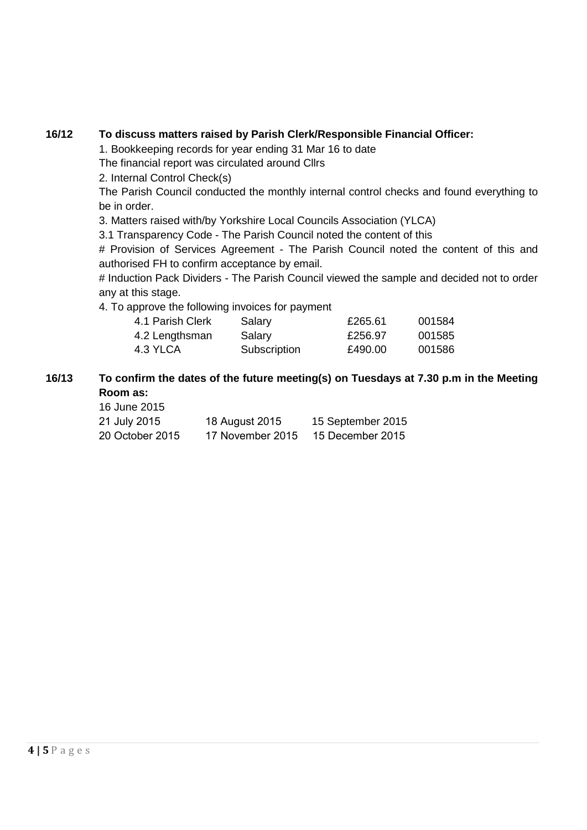## **16/12 To discuss matters raised by Parish Clerk/Responsible Financial Officer:**

1. Bookkeeping records for year ending 31 Mar 16 to date

The financial report was circulated around Cllrs

2. Internal Control Check(s)

The Parish Council conducted the monthly internal control checks and found everything to be in order.

3. Matters raised with/by Yorkshire Local Councils Association (YLCA)

3.1 Transparency Code - The Parish Council noted the content of this

# Provision of Services Agreement - The Parish Council noted the content of this and authorised FH to confirm acceptance by email.

# Induction Pack Dividers - The Parish Council viewed the sample and decided not to order any at this stage.

4. To approve the following invoices for payment

| 4.1 Parish Clerk | Salary       | £265.61 | 001584 |
|------------------|--------------|---------|--------|
| 4.2 Lengthsman   | Salary       | £256.97 | 001585 |
| 4.3 YLCA         | Subscription | £490.00 | 001586 |

#### **16/13 To confirm the dates of the future meeting(s) on Tuesdays at 7.30 p.m in the Meeting Room as:** 16 June 2015

| <b>10 JUNE ZUTS</b> |                  |                   |
|---------------------|------------------|-------------------|
| 21 July 2015        | 18 August 2015   | 15 September 2015 |
| 20 October 2015     | 17 November 2015 | 15 December 2015  |